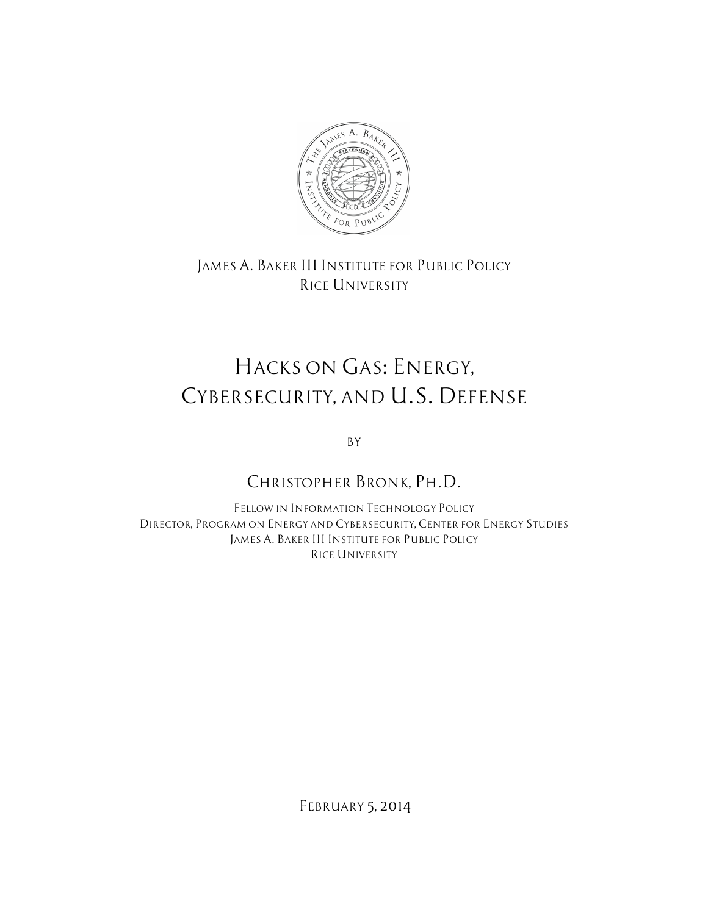

*JAMES A. BAKER III INSTITUTE FOR PUBLIC POLICY RICE UNIVERSITY*

# *HACKS ON GAS: ENERGY, CYBERSECURITY, AND U.S. DEFENSE*

*BY*

# *CHRISTOPHER BRONK, PH.D.*

*FELLOW IN INFORMATION TECHNOLOGY POLICY DIRECTOR, PROGRAM ON ENERGY AND CYBERSECURITY, CENTER FOR ENERGY STUDIES JAMES A. BAKER III INSTITUTE FOR PUBLIC POLICY RICE UNIVERSITY*

*FEBRUARY 5, 2014*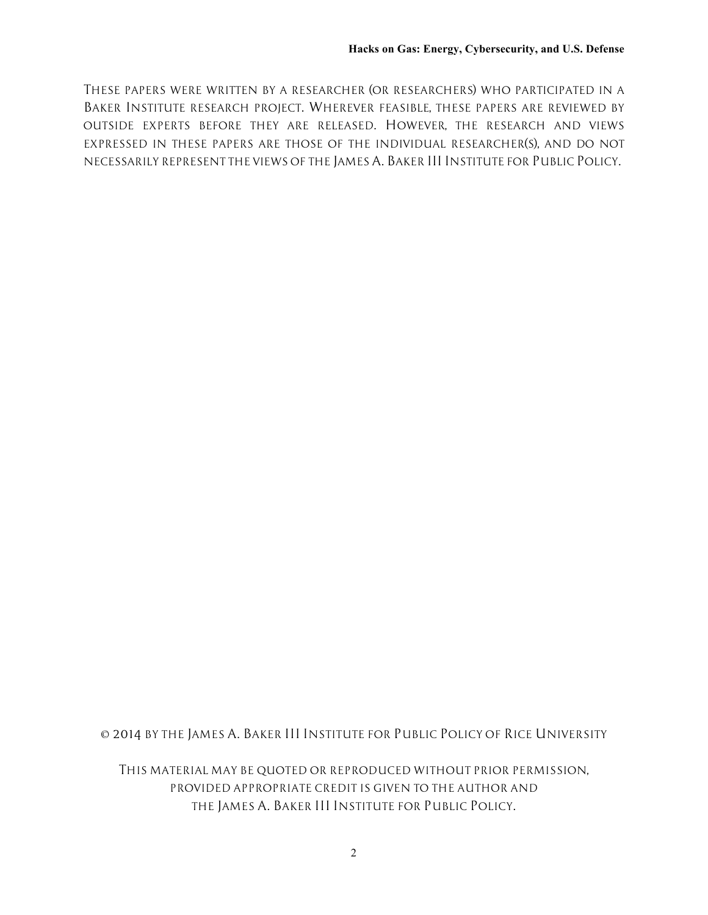*THESE PAPERS WERE WRITTEN BY A RESEARCHER (OR RESEARCHERS) WHO PARTICIPATED IN A BAKER INSTITUTE RESEARCH PROJECT. WHEREVER FEASIBLE, THESE PAPERS ARE REVIEWED BY OUTSIDE EXPERTS BEFORE THEY ARE RELEASED. HOWEVER, THE RESEARCH AND VIEWS EXPRESSED IN THESE PAPERS ARE THOSE OF THE INDIVIDUAL RESEARCHER(S), AND DO NOT NECESSARILY REPRESENT THE VIEWS OF THE JAMES A. BAKER III INSTITUTE FOR PUBLIC POLICY.*

*© 2014 BY THE JAMES A. BAKER III INSTITUTE FOR PUBLIC POLICY OF RICE UNIVERSITY*

*THIS MATERIAL MAY BE QUOTED OR REPRODUCED WITHOUT PRIOR PERMISSION, PROVIDED APPROPRIATE CREDIT IS GIVEN TO THE AUTHOR AND THE JAMES A. BAKER III INSTITUTE FOR PUBLIC POLICY.*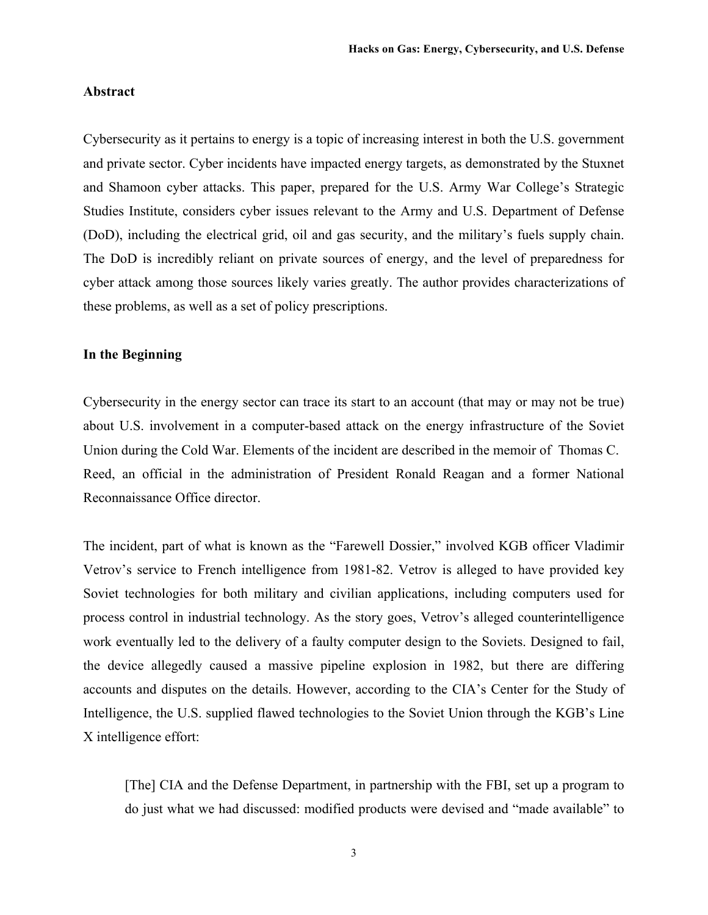#### **Abstract**

Cybersecurity as it pertains to energy is a topic of increasing interest in both the U.S. government and private sector. Cyber incidents have impacted energy targets, as demonstrated by the Stuxnet and Shamoon cyber attacks. This paper, prepared for the U.S. Army War College's Strategic Studies Institute, considers cyber issues relevant to the Army and U.S. Department of Defense (DoD), including the electrical grid, oil and gas security, and the military's fuels supply chain. The DoD is incredibly reliant on private sources of energy, and the level of preparedness for cyber attack among those sources likely varies greatly. The author provides characterizations of these problems, as well as a set of policy prescriptions.

#### **In the Beginning**

Cybersecurity in the energy sector can trace its start to an account (that may or may not be true) about U.S. involvement in a computer-based attack on the energy infrastructure of the Soviet Union during the Cold War. Elements of the incident are described in the memoir of Thomas C. Reed, an official in the administration of President Ronald Reagan and a former National Reconnaissance Office director.

The incident, part of what is known as the "Farewell Dossier," involved KGB officer Vladimir Vetrov's service to French intelligence from 1981-82. Vetrov is alleged to have provided key Soviet technologies for both military and civilian applications, including computers used for process control in industrial technology. As the story goes, Vetrov's alleged counterintelligence work eventually led to the delivery of a faulty computer design to the Soviets. Designed to fail, the device allegedly caused a massive pipeline explosion in 1982, but there are differing accounts and disputes on the details. However, according to the CIA's Center for the Study of Intelligence, the U.S. supplied flawed technologies to the Soviet Union through the KGB's Line X intelligence effort:

[The] CIA and the Defense Department, in partnership with the FBI, set up a program to do just what we had discussed: modified products were devised and "made available" to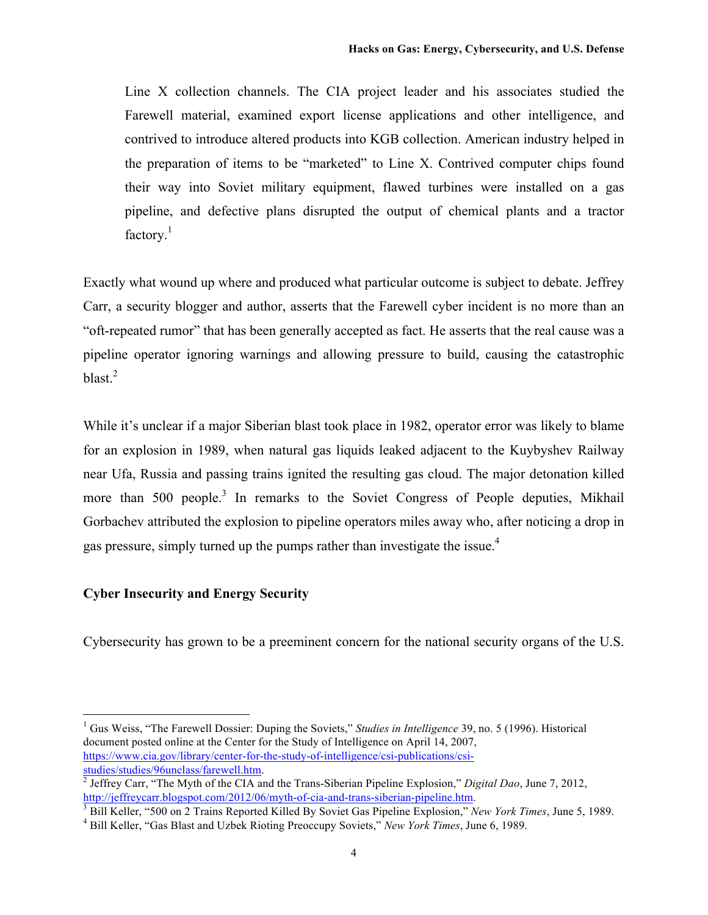Line X collection channels. The CIA project leader and his associates studied the Farewell material, examined export license applications and other intelligence, and contrived to introduce altered products into KGB collection. American industry helped in the preparation of items to be "marketed" to Line X. Contrived computer chips found their way into Soviet military equipment, flawed turbines were installed on a gas pipeline, and defective plans disrupted the output of chemical plants and a tractor factory. $1$ 

Exactly what wound up where and produced what particular outcome is subject to debate. Jeffrey Carr, a security blogger and author, asserts that the Farewell cyber incident is no more than an "oft-repeated rumor" that has been generally accepted as fact. He asserts that the real cause was a pipeline operator ignoring warnings and allowing pressure to build, causing the catastrophic blast. $2$ 

While it's unclear if a major Siberian blast took place in 1982, operator error was likely to blame for an explosion in 1989, when natural gas liquids leaked adjacent to the Kuybyshev Railway near Ufa, Russia and passing trains ignited the resulting gas cloud. The major detonation killed more than 500 people.<sup>3</sup> In remarks to the Soviet Congress of People deputies, Mikhail Gorbachev attributed the explosion to pipeline operators miles away who, after noticing a drop in gas pressure, simply turned up the pumps rather than investigate the issue.<sup>4</sup>

# **Cyber Insecurity and Energy Security**

Cybersecurity has grown to be a preeminent concern for the national security organs of the U.S.

 <sup>1</sup> Gus Weiss, "The Farewell Dossier: Duping the Soviets," *Studies in Intelligence* 39, no. 5 (1996). Historical document posted online at the Center for the Study of Intelligence on April 14, 2007, https://www.cia.gov/library/center-for-the-study-of-intelligence/csi-publications/csistudies/studies/96unclass/farewell.htm. 2 Jeffrey Carr, "The Myth of the CIA and the Trans-Siberian Pipeline Explosion," *Digital Dao*, June 7, 2012,

http://jeffreycarr.blogspot.com/2012/06/myth-of-cia-and-trans-siberian-pipeline.htm.

<sup>3</sup> Bill Keller, "500 on 2 Trains Reported Killed By Soviet Gas Pipeline Explosion," *New York Times*, June 5, 1989.

<sup>4</sup> Bill Keller, "Gas Blast and Uzbek Rioting Preoccupy Soviets," *New York Times*, June 6, 1989.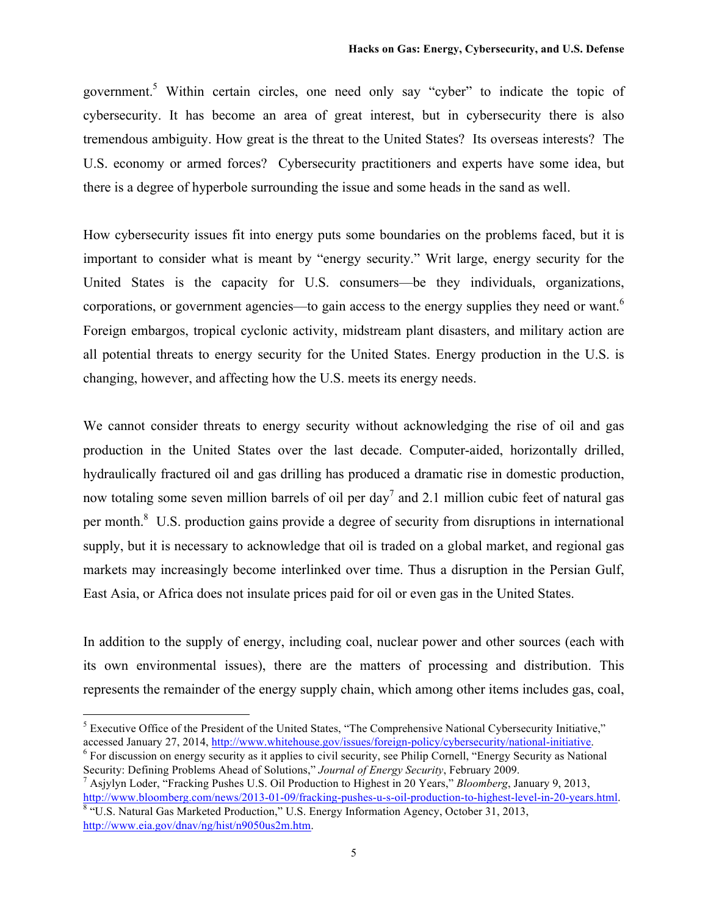government.5 Within certain circles, one need only say "cyber" to indicate the topic of cybersecurity. It has become an area of great interest, but in cybersecurity there is also tremendous ambiguity. How great is the threat to the United States? Its overseas interests? The U.S. economy or armed forces? Cybersecurity practitioners and experts have some idea, but there is a degree of hyperbole surrounding the issue and some heads in the sand as well.

How cybersecurity issues fit into energy puts some boundaries on the problems faced, but it is important to consider what is meant by "energy security." Writ large, energy security for the United States is the capacity for U.S. consumers—be they individuals, organizations, corporations, or government agencies—to gain access to the energy supplies they need or want.<sup>6</sup> Foreign embargos, tropical cyclonic activity, midstream plant disasters, and military action are all potential threats to energy security for the United States. Energy production in the U.S. is changing, however, and affecting how the U.S. meets its energy needs.

We cannot consider threats to energy security without acknowledging the rise of oil and gas production in the United States over the last decade. Computer-aided, horizontally drilled, hydraulically fractured oil and gas drilling has produced a dramatic rise in domestic production, now totaling some seven million barrels of oil per day<sup>7</sup> and 2.1 million cubic feet of natural gas per month. $8$  U.S. production gains provide a degree of security from disruptions in international supply, but it is necessary to acknowledge that oil is traded on a global market, and regional gas markets may increasingly become interlinked over time. Thus a disruption in the Persian Gulf, East Asia, or Africa does not insulate prices paid for oil or even gas in the United States.

In addition to the supply of energy, including coal, nuclear power and other sources (each with its own environmental issues), there are the matters of processing and distribution. This represents the remainder of the energy supply chain, which among other items includes gas, coal,

<sup>&</sup>lt;sup>5</sup> Executive Office of the President of the United States, "The Comprehensive National Cybersecurity Initiative," accessed January 27, 2014, http://www.whitehouse.gov/issues/foreign-policy/cybersecurity/national-initiative.

<sup>6</sup> For discussion on energy security as it applies to civil security, see Philip Cornell, "Energy Security as National Security: Defining Problems Ahead of Solutions," *Journal of Energy Security*, February 2009. 7 Asjylyn Loder, "Fracking Pushes U.S. Oil Production to Highest in 20 Years," *Bloomberg*, January 9, 2013,

http://www.bloomberg.com/news/2013-01-09/fracking-pushes-u-s-oil-production-to-highest-level-in-20-years.html. <sup>8</sup> "U.S. Natural Gas Marketed Production," U.S. Energy Information Agency, October 31, 2013, http://www.eia.gov/dnav/ng/hist/n9050us2m.htm.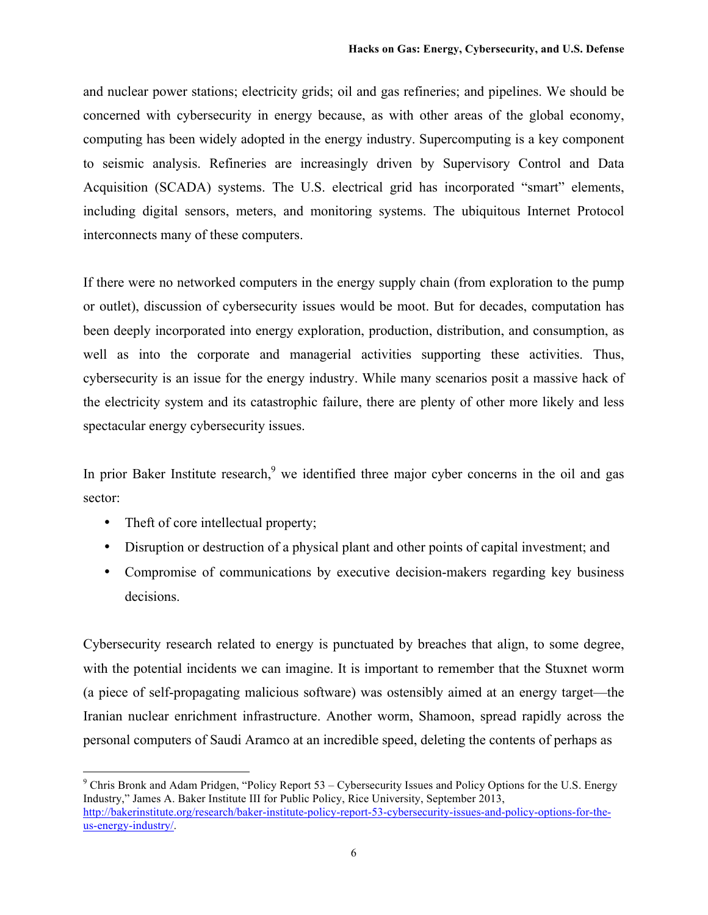and nuclear power stations; electricity grids; oil and gas refineries; and pipelines. We should be concerned with cybersecurity in energy because, as with other areas of the global economy, computing has been widely adopted in the energy industry. Supercomputing is a key component to seismic analysis. Refineries are increasingly driven by Supervisory Control and Data Acquisition (SCADA) systems. The U.S. electrical grid has incorporated "smart" elements, including digital sensors, meters, and monitoring systems. The ubiquitous Internet Protocol interconnects many of these computers.

If there were no networked computers in the energy supply chain (from exploration to the pump or outlet), discussion of cybersecurity issues would be moot. But for decades, computation has been deeply incorporated into energy exploration, production, distribution, and consumption, as well as into the corporate and managerial activities supporting these activities. Thus, cybersecurity is an issue for the energy industry. While many scenarios posit a massive hack of the electricity system and its catastrophic failure, there are plenty of other more likely and less spectacular energy cybersecurity issues.

In prior Baker Institute research, $9$  we identified three major cyber concerns in the oil and gas sector:

- Theft of core intellectual property;
- Disruption or destruction of a physical plant and other points of capital investment; and
- Compromise of communications by executive decision-makers regarding key business decisions.

Cybersecurity research related to energy is punctuated by breaches that align, to some degree, with the potential incidents we can imagine. It is important to remember that the Stuxnet worm (a piece of self-propagating malicious software) was ostensibly aimed at an energy target—the Iranian nuclear enrichment infrastructure. Another worm, Shamoon, spread rapidly across the personal computers of Saudi Aramco at an incredible speed, deleting the contents of perhaps as

 $9$  Chris Bronk and Adam Pridgen, "Policy Report 53 – Cybersecurity Issues and Policy Options for the U.S. Energy Industry," James A. Baker Institute III for Public Policy, Rice University, September 2013, http://bakerinstitute.org/research/baker-institute-policy-report-53-cybersecurity-issues-and-policy-options-for-theus-energy-industry/.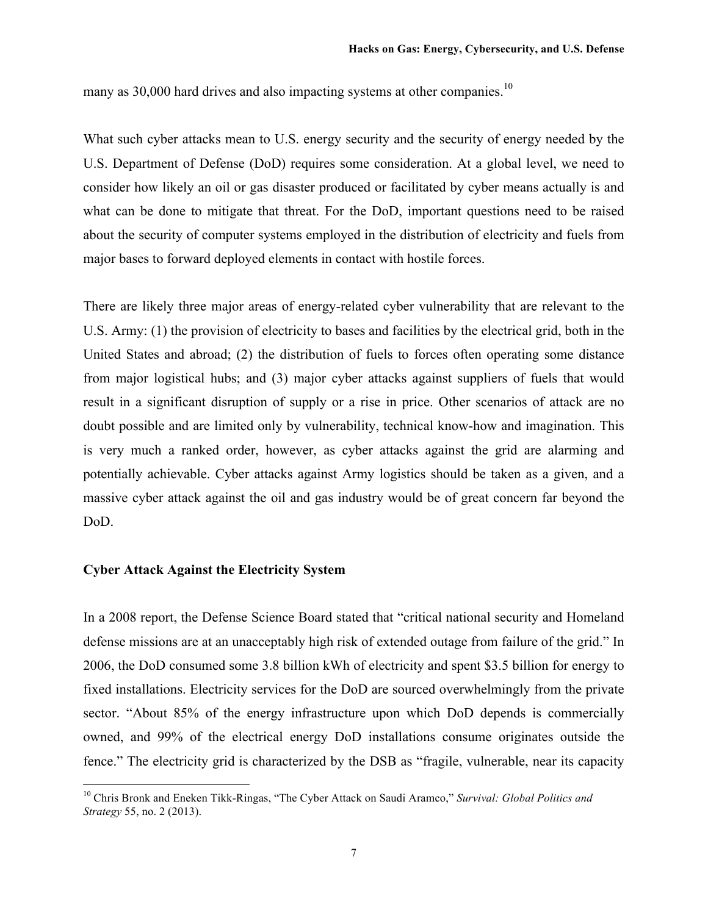many as  $30,000$  hard drives and also impacting systems at other companies.<sup>10</sup>

What such cyber attacks mean to U.S. energy security and the security of energy needed by the U.S. Department of Defense (DoD) requires some consideration. At a global level, we need to consider how likely an oil or gas disaster produced or facilitated by cyber means actually is and what can be done to mitigate that threat. For the DoD, important questions need to be raised about the security of computer systems employed in the distribution of electricity and fuels from major bases to forward deployed elements in contact with hostile forces.

There are likely three major areas of energy-related cyber vulnerability that are relevant to the U.S. Army: (1) the provision of electricity to bases and facilities by the electrical grid, both in the United States and abroad; (2) the distribution of fuels to forces often operating some distance from major logistical hubs; and (3) major cyber attacks against suppliers of fuels that would result in a significant disruption of supply or a rise in price. Other scenarios of attack are no doubt possible and are limited only by vulnerability, technical know-how and imagination. This is very much a ranked order, however, as cyber attacks against the grid are alarming and potentially achievable. Cyber attacks against Army logistics should be taken as a given, and a massive cyber attack against the oil and gas industry would be of great concern far beyond the DoD.

## **Cyber Attack Against the Electricity System**

In a 2008 report, the Defense Science Board stated that "critical national security and Homeland defense missions are at an unacceptably high risk of extended outage from failure of the grid." In 2006, the DoD consumed some 3.8 billion kWh of electricity and spent \$3.5 billion for energy to fixed installations. Electricity services for the DoD are sourced overwhelmingly from the private sector. "About 85% of the energy infrastructure upon which DoD depends is commercially owned, and 99% of the electrical energy DoD installations consume originates outside the fence." The electricity grid is characterized by the DSB as "fragile, vulnerable, near its capacity

 <sup>10</sup> Chris Bronk and Eneken Tikk-Ringas, "The Cyber Attack on Saudi Aramco," *Survival: Global Politics and Strategy* 55, no. 2 (2013).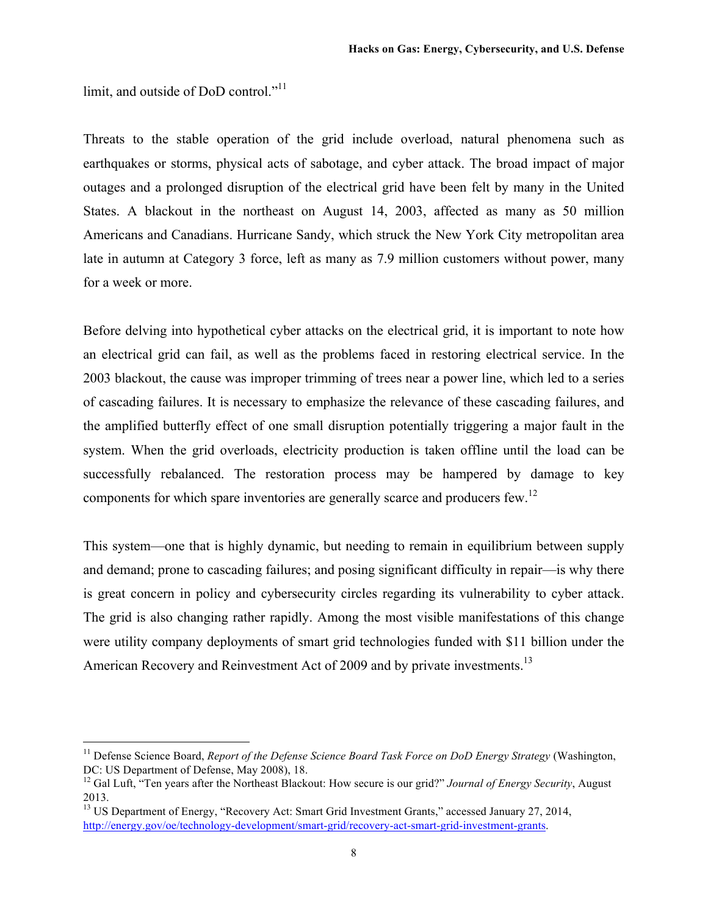limit, and outside of DoD control."<sup>11</sup>

Threats to the stable operation of the grid include overload, natural phenomena such as earthquakes or storms, physical acts of sabotage, and cyber attack. The broad impact of major outages and a prolonged disruption of the electrical grid have been felt by many in the United States. A blackout in the northeast on August 14, 2003, affected as many as 50 million Americans and Canadians. Hurricane Sandy, which struck the New York City metropolitan area late in autumn at Category 3 force, left as many as 7.9 million customers without power, many for a week or more.

Before delving into hypothetical cyber attacks on the electrical grid, it is important to note how an electrical grid can fail, as well as the problems faced in restoring electrical service. In the 2003 blackout, the cause was improper trimming of trees near a power line, which led to a series of cascading failures. It is necessary to emphasize the relevance of these cascading failures, and the amplified butterfly effect of one small disruption potentially triggering a major fault in the system. When the grid overloads, electricity production is taken offline until the load can be successfully rebalanced. The restoration process may be hampered by damage to key components for which spare inventories are generally scarce and producers few.<sup>12</sup>

This system—one that is highly dynamic, but needing to remain in equilibrium between supply and demand; prone to cascading failures; and posing significant difficulty in repair—is why there is great concern in policy and cybersecurity circles regarding its vulnerability to cyber attack. The grid is also changing rather rapidly. Among the most visible manifestations of this change were utility company deployments of smart grid technologies funded with \$11 billion under the American Recovery and Reinvestment Act of 2009 and by private investments.<sup>13</sup>

 <sup>11</sup> Defense Science Board, *Report of the Defense Science Board Task Force on DoD Energy Strategy* (Washington, DC: US Department of Defense, May 2008), 18.

<sup>&</sup>lt;sup>12</sup> Gal Luft, "Ten years after the Northeast Blackout: How secure is our grid?" *Journal of Energy Security*, August 2013.

<sup>&</sup>lt;sup>13</sup> US Department of Energy, "Recovery Act: Smart Grid Investment Grants," accessed January 27, 2014, http://energy.gov/oe/technology-development/smart-grid/recovery-act-smart-grid-investment-grants.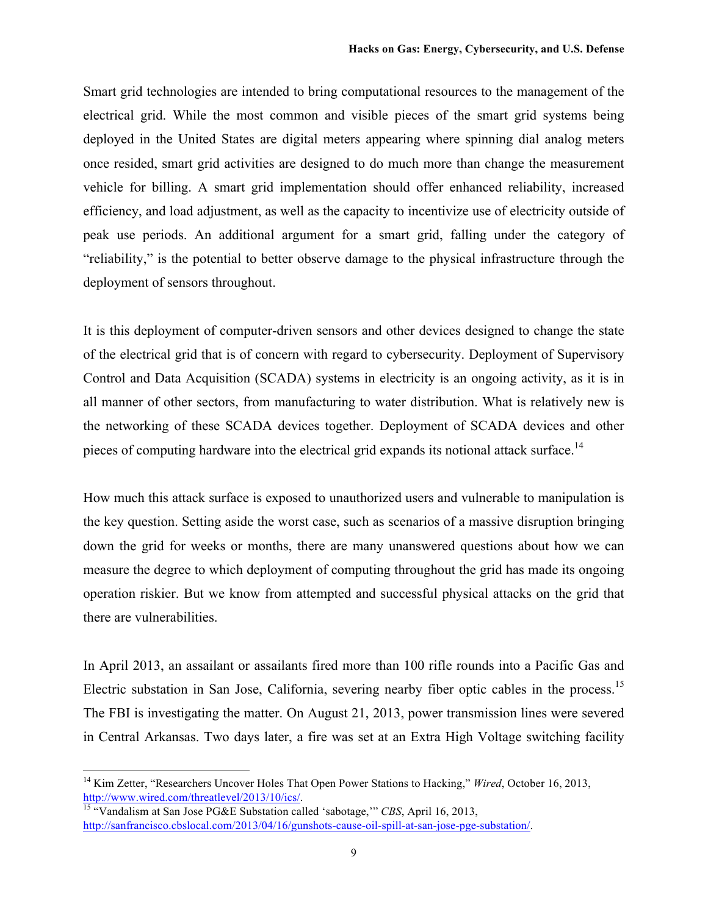Smart grid technologies are intended to bring computational resources to the management of the electrical grid. While the most common and visible pieces of the smart grid systems being deployed in the United States are digital meters appearing where spinning dial analog meters once resided, smart grid activities are designed to do much more than change the measurement vehicle for billing. A smart grid implementation should offer enhanced reliability, increased efficiency, and load adjustment, as well as the capacity to incentivize use of electricity outside of peak use periods. An additional argument for a smart grid, falling under the category of "reliability," is the potential to better observe damage to the physical infrastructure through the deployment of sensors throughout.

It is this deployment of computer-driven sensors and other devices designed to change the state of the electrical grid that is of concern with regard to cybersecurity. Deployment of Supervisory Control and Data Acquisition (SCADA) systems in electricity is an ongoing activity, as it is in all manner of other sectors, from manufacturing to water distribution. What is relatively new is the networking of these SCADA devices together. Deployment of SCADA devices and other pieces of computing hardware into the electrical grid expands its notional attack surface.<sup>14</sup>

How much this attack surface is exposed to unauthorized users and vulnerable to manipulation is the key question. Setting aside the worst case, such as scenarios of a massive disruption bringing down the grid for weeks or months, there are many unanswered questions about how we can measure the degree to which deployment of computing throughout the grid has made its ongoing operation riskier. But we know from attempted and successful physical attacks on the grid that there are vulnerabilities.

In April 2013, an assailant or assailants fired more than 100 rifle rounds into a Pacific Gas and Electric substation in San Jose, California, severing nearby fiber optic cables in the process.<sup>15</sup> The FBI is investigating the matter. On August 21, 2013, power transmission lines were severed in Central Arkansas. Two days later, a fire was set at an Extra High Voltage switching facility

<sup>&</sup>lt;sup>14</sup> Kim Zetter, "Researchers Uncover Holes That Open Power Stations to Hacking," *Wired*, October 16, 2013, http://www.wired.com/threatlevel/2013/10/ics/.

<sup>15</sup> "Vandalism at San Jose PG&E Substation called 'sabotage,'" *CBS*, April 16, 2013, http://sanfrancisco.cbslocal.com/2013/04/16/gunshots-cause-oil-spill-at-san-jose-pge-substation/.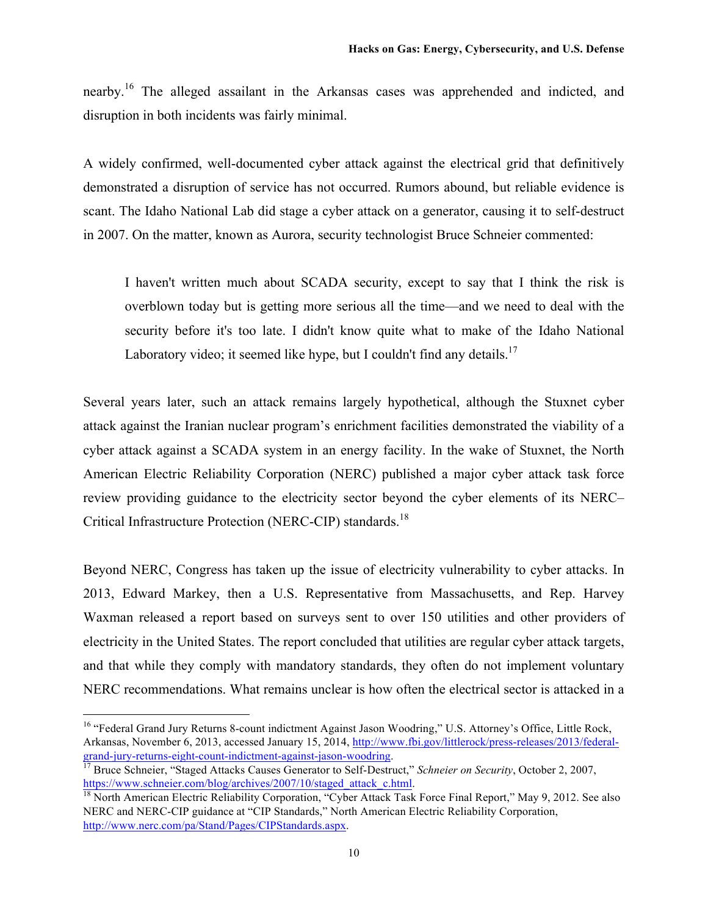nearby.<sup>16</sup> The alleged assailant in the Arkansas cases was apprehended and indicted, and disruption in both incidents was fairly minimal.

A widely confirmed, well-documented cyber attack against the electrical grid that definitively demonstrated a disruption of service has not occurred. Rumors abound, but reliable evidence is scant. The Idaho National Lab did stage a cyber attack on a generator, causing it to self-destruct in 2007. On the matter, known as Aurora, security technologist Bruce Schneier commented:

I haven't written much about SCADA security, except to say that I think the risk is overblown today but is getting more serious all the time—and we need to deal with the security before it's too late. I didn't know quite what to make of the Idaho National Laboratory video; it seemed like hype, but I couldn't find any details.<sup>17</sup>

Several years later, such an attack remains largely hypothetical, although the Stuxnet cyber attack against the Iranian nuclear program's enrichment facilities demonstrated the viability of a cyber attack against a SCADA system in an energy facility. In the wake of Stuxnet, the North American Electric Reliability Corporation (NERC) published a major cyber attack task force review providing guidance to the electricity sector beyond the cyber elements of its NERC– Critical Infrastructure Protection (NERC-CIP) standards.18

Beyond NERC, Congress has taken up the issue of electricity vulnerability to cyber attacks. In 2013, Edward Markey, then a U.S. Representative from Massachusetts, and Rep. Harvey Waxman released a report based on surveys sent to over 150 utilities and other providers of electricity in the United States. The report concluded that utilities are regular cyber attack targets, and that while they comply with mandatory standards, they often do not implement voluntary NERC recommendations. What remains unclear is how often the electrical sector is attacked in a

<sup>&</sup>lt;sup>16</sup> "Federal Grand Jury Returns 8-count indictment Against Jason Woodring," U.S. Attorney's Office, Little Rock, Arkansas, November 6, 2013, accessed January 15, 2014, http://www.fbi.gov/littlerock/press-releases/2013/federalgrand-jury-returns-eight-count-indictment-against-jason-woodring.

<sup>&</sup>lt;sup>17</sup> Bruce Schneier, "Staged Attacks Causes Generator to Self-Destruct," *Schneier on Security*, October 2, 2007, https://www.schneier.com/blog/archives/2007/10/staged\_attack\_c.html.

<sup>&</sup>lt;sup>18</sup> North American Electric Reliability Corporation, "Cyber Attack Task Force Final Report," May 9, 2012. See also NERC and NERC-CIP guidance at "CIP Standards," North American Electric Reliability Corporation, http://www.nerc.com/pa/Stand/Pages/CIPStandards.aspx.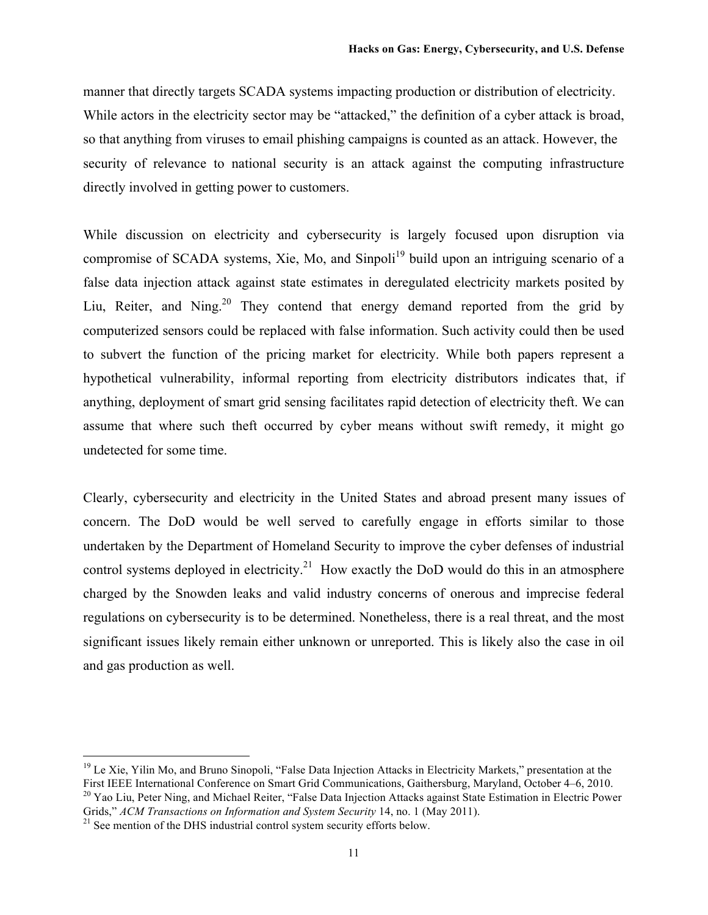manner that directly targets SCADA systems impacting production or distribution of electricity. While actors in the electricity sector may be "attacked," the definition of a cyber attack is broad, so that anything from viruses to email phishing campaigns is counted as an attack. However, the security of relevance to national security is an attack against the computing infrastructure directly involved in getting power to customers.

While discussion on electricity and cybersecurity is largely focused upon disruption via compromise of SCADA systems, Xie, Mo, and Sinpoli<sup>19</sup> build upon an intriguing scenario of a false data injection attack against state estimates in deregulated electricity markets posited by Liu, Reiter, and Ning.<sup>20</sup> They contend that energy demand reported from the grid by computerized sensors could be replaced with false information. Such activity could then be used to subvert the function of the pricing market for electricity. While both papers represent a hypothetical vulnerability, informal reporting from electricity distributors indicates that, if anything, deployment of smart grid sensing facilitates rapid detection of electricity theft. We can assume that where such theft occurred by cyber means without swift remedy, it might go undetected for some time.

Clearly, cybersecurity and electricity in the United States and abroad present many issues of concern. The DoD would be well served to carefully engage in efforts similar to those undertaken by the Department of Homeland Security to improve the cyber defenses of industrial control systems deployed in electricity.<sup>21</sup> How exactly the DoD would do this in an atmosphere charged by the Snowden leaks and valid industry concerns of onerous and imprecise federal regulations on cybersecurity is to be determined. Nonetheless, there is a real threat, and the most significant issues likely remain either unknown or unreported. This is likely also the case in oil and gas production as well.

 $19$  Le Xie, Yilin Mo, and Bruno Sinopoli, "False Data Injection Attacks in Electricity Markets," presentation at the First IEEE International Conference on Smart Grid Communications, Gaithersburg, Maryland, October 4–6, 2010. <sup>20</sup> Yao Liu, Peter Ning, and Michael Reiter, "False Data Injection Attacks against State Estimation in Electric Power Grids," *ACM Transactions on Information and System Security* 14, no. 1 (May 2011).

 $21$  See mention of the DHS industrial control system security efforts below.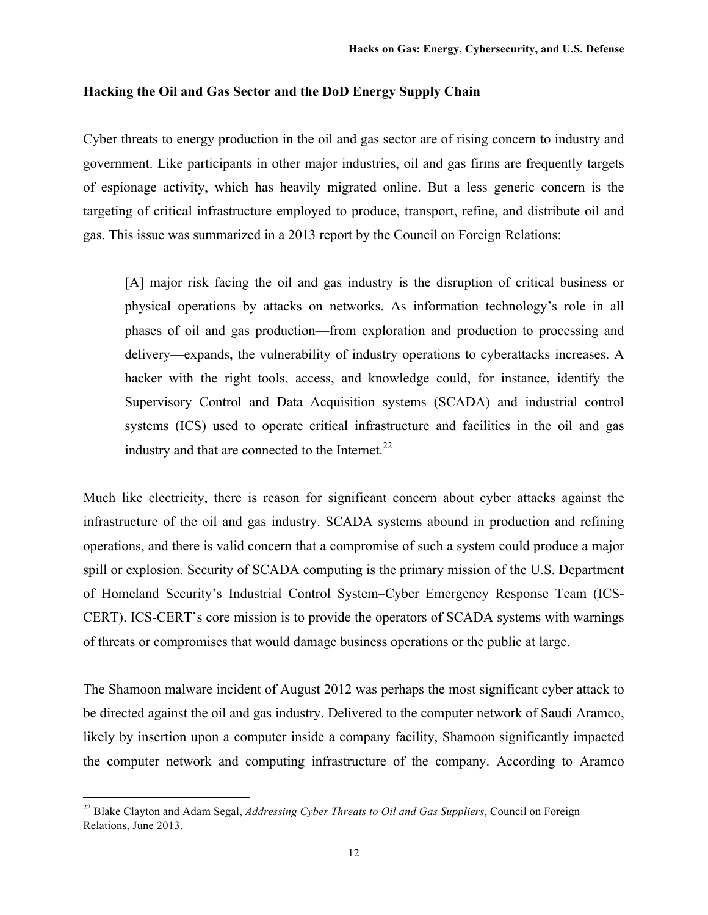## **Hacking the Oil and Gas Sector and the DoD Energy Supply Chain**

Cyber threats to energy production in the oil and gas sector are of rising concern to industry and government. Like participants in other major industries, oil and gas firms are frequently targets of espionage activity, which has heavily migrated online. But a less generic concern is the targeting of critical infrastructure employed to produce, transport, refine, and distribute oil and gas. This issue was summarized in a 2013 report by the Council on Foreign Relations:

[A] major risk facing the oil and gas industry is the disruption of critical business or physical operations by attacks on networks. As information technology's role in all phases of oil and gas production—from exploration and production to processing and delivery—expands, the vulnerability of industry operations to cyberattacks increases. A hacker with the right tools, access, and knowledge could, for instance, identify the Supervisory Control and Data Acquisition systems (SCADA) and industrial control systems (ICS) used to operate critical infrastructure and facilities in the oil and gas industry and that are connected to the Internet.<sup>22</sup>

Much like electricity, there is reason for significant concern about cyber attacks against the infrastructure of the oil and gas industry. SCADA systems abound in production and refining operations, and there is valid concern that a compromise of such a system could produce a major spill or explosion. Security of SCADA computing is the primary mission of the U.S. Department of Homeland Security's Industrial Control System–Cyber Emergency Response Team (ICS-CERT). ICS-CERT's core mission is to provide the operators of SCADA systems with warnings of threats or compromises that would damage business operations or the public at large.

The Shamoon malware incident of August 2012 was perhaps the most significant cyber attack to be directed against the oil and gas industry. Delivered to the computer network of Saudi Aramco, likely by insertion upon a computer inside a company facility, Shamoon significantly impacted the computer network and computing infrastructure of the company. According to Aramco

 <sup>22</sup> Blake Clayton and Adam Segal, *Addressing Cyber Threats to Oil and Gas Suppliers*, Council on Foreign Relations, June 2013.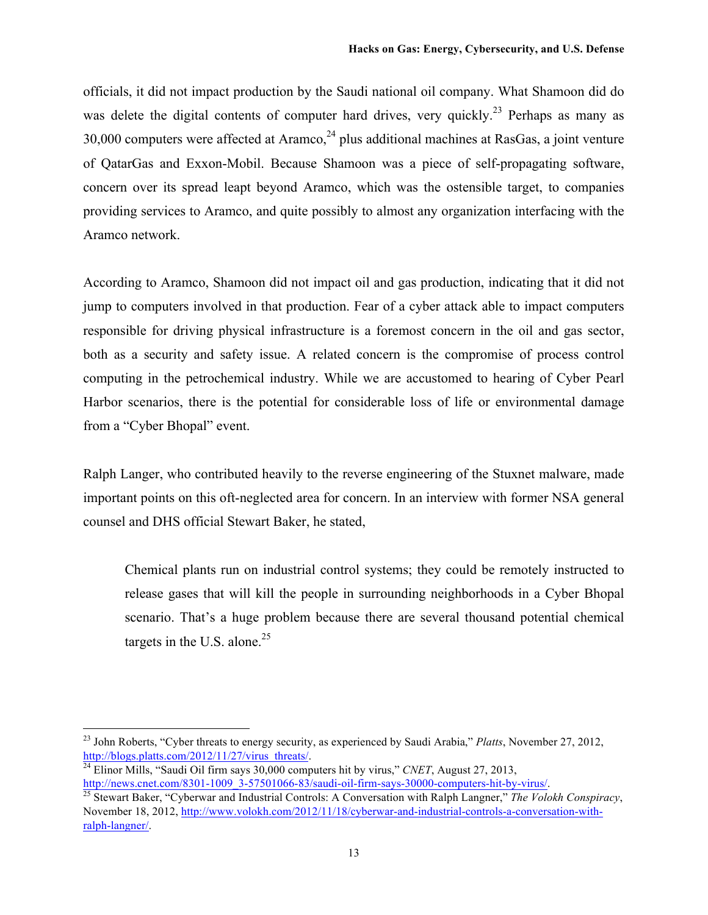officials, it did not impact production by the Saudi national oil company. What Shamoon did do was delete the digital contents of computer hard drives, very quickly.<sup>23</sup> Perhaps as many as 30,000 computers were affected at Aramco,  $24$  plus additional machines at RasGas, a joint venture of QatarGas and Exxon-Mobil. Because Shamoon was a piece of self-propagating software, concern over its spread leapt beyond Aramco, which was the ostensible target, to companies providing services to Aramco, and quite possibly to almost any organization interfacing with the Aramco network.

According to Aramco, Shamoon did not impact oil and gas production, indicating that it did not jump to computers involved in that production. Fear of a cyber attack able to impact computers responsible for driving physical infrastructure is a foremost concern in the oil and gas sector, both as a security and safety issue. A related concern is the compromise of process control computing in the petrochemical industry. While we are accustomed to hearing of Cyber Pearl Harbor scenarios, there is the potential for considerable loss of life or environmental damage from a "Cyber Bhopal" event.

Ralph Langer, who contributed heavily to the reverse engineering of the Stuxnet malware, made important points on this oft-neglected area for concern. In an interview with former NSA general counsel and DHS official Stewart Baker, he stated,

Chemical plants run on industrial control systems; they could be remotely instructed to release gases that will kill the people in surrounding neighborhoods in a Cyber Bhopal scenario. That's a huge problem because there are several thousand potential chemical targets in the U.S. alone. $25$ 

 <sup>23</sup> John Roberts, "Cyber threats to energy security, as experienced by Saudi Arabia," *Platts*, November 27, 2012, http://blogs.platts.com/2012/11/27/virus\_threats/.

<sup>&</sup>lt;sup>24</sup> Elinor Mills, "Saudi Oil firm says  $30,000$  computers hit by virus," *CNET*, August 27, 2013, http://news.cnet.com/8301-1009\_3-57501066-83/saudi-oil-firm-says-30000-computers-hit-by-virus/.

<sup>25</sup> Stewart Baker, "Cyberwar and Industrial Controls: A Conversation with Ralph Langner," *The Volokh Conspiracy*, November 18, 2012, http://www.volokh.com/2012/11/18/cyberwar-and-industrial-controls-a-conversation-withralph-langner/.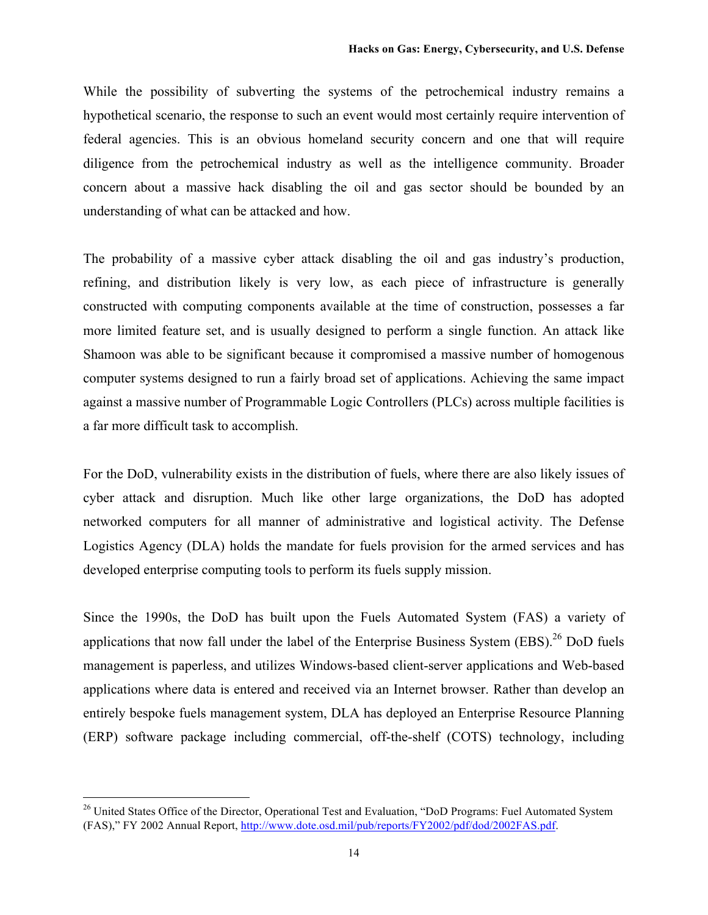While the possibility of subverting the systems of the petrochemical industry remains a hypothetical scenario, the response to such an event would most certainly require intervention of federal agencies. This is an obvious homeland security concern and one that will require diligence from the petrochemical industry as well as the intelligence community. Broader concern about a massive hack disabling the oil and gas sector should be bounded by an understanding of what can be attacked and how.

The probability of a massive cyber attack disabling the oil and gas industry's production, refining, and distribution likely is very low, as each piece of infrastructure is generally constructed with computing components available at the time of construction, possesses a far more limited feature set, and is usually designed to perform a single function. An attack like Shamoon was able to be significant because it compromised a massive number of homogenous computer systems designed to run a fairly broad set of applications. Achieving the same impact against a massive number of Programmable Logic Controllers (PLCs) across multiple facilities is a far more difficult task to accomplish.

For the DoD, vulnerability exists in the distribution of fuels, where there are also likely issues of cyber attack and disruption. Much like other large organizations, the DoD has adopted networked computers for all manner of administrative and logistical activity. The Defense Logistics Agency (DLA) holds the mandate for fuels provision for the armed services and has developed enterprise computing tools to perform its fuels supply mission.

Since the 1990s, the DoD has built upon the Fuels Automated System (FAS) a variety of applications that now fall under the label of the Enterprise Business System (EBS).<sup>26</sup> DoD fuels management is paperless, and utilizes Windows-based client-server applications and Web-based applications where data is entered and received via an Internet browser. Rather than develop an entirely bespoke fuels management system, DLA has deployed an Enterprise Resource Planning (ERP) software package including commercial, off-the-shelf (COTS) technology, including

<sup>&</sup>lt;sup>26</sup> United States Office of the Director, Operational Test and Evaluation, "DoD Programs: Fuel Automated System (FAS)," FY 2002 Annual Report, http://www.dote.osd.mil/pub/reports/FY2002/pdf/dod/2002FAS.pdf.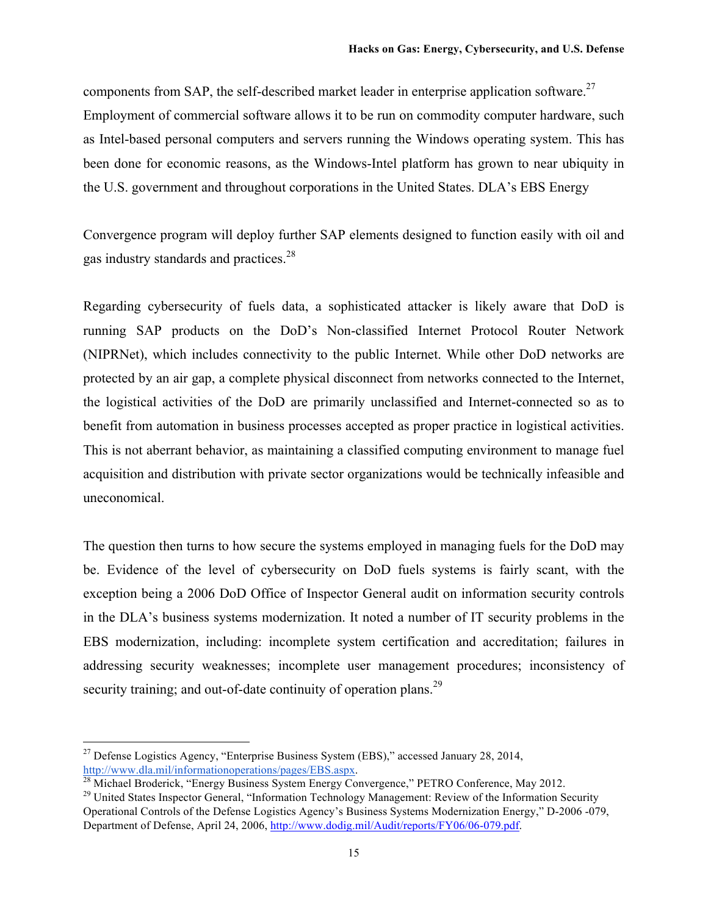components from SAP, the self-described market leader in enterprise application software.<sup>27</sup> Employment of commercial software allows it to be run on commodity computer hardware, such as Intel-based personal computers and servers running the Windows operating system. This has been done for economic reasons, as the Windows-Intel platform has grown to near ubiquity in the U.S. government and throughout corporations in the United States. DLA's EBS Energy

Convergence program will deploy further SAP elements designed to function easily with oil and gas industry standards and practices.<sup>28</sup>

Regarding cybersecurity of fuels data, a sophisticated attacker is likely aware that DoD is running SAP products on the DoD's Non-classified Internet Protocol Router Network (NIPRNet), which includes connectivity to the public Internet. While other DoD networks are protected by an air gap, a complete physical disconnect from networks connected to the Internet, the logistical activities of the DoD are primarily unclassified and Internet-connected so as to benefit from automation in business processes accepted as proper practice in logistical activities. This is not aberrant behavior, as maintaining a classified computing environment to manage fuel acquisition and distribution with private sector organizations would be technically infeasible and uneconomical.

The question then turns to how secure the systems employed in managing fuels for the DoD may be. Evidence of the level of cybersecurity on DoD fuels systems is fairly scant, with the exception being a 2006 DoD Office of Inspector General audit on information security controls in the DLA's business systems modernization. It noted a number of IT security problems in the EBS modernization, including: incomplete system certification and accreditation; failures in addressing security weaknesses; incomplete user management procedures; inconsistency of security training; and out-of-date continuity of operation plans.<sup>29</sup>

<sup>&</sup>lt;sup>27</sup> Defense Logistics Agency, "Enterprise Business System (EBS)," accessed January 28, 2014, http://www.dla.mil/informationoperations/pages/EBS.aspx.

 $^{28}$  Michael Broderick, "Energy Business System Energy Convergence," PETRO Conference, May 2012.

<sup>&</sup>lt;sup>29</sup> United States Inspector General, "Information Technology Management: Review of the Information Security Operational Controls of the Defense Logistics Agency's Business Systems Modernization Energy," D-2006 -079, Department of Defense, April 24, 2006, http://www.dodig.mil/Audit/reports/FY06/06-079.pdf.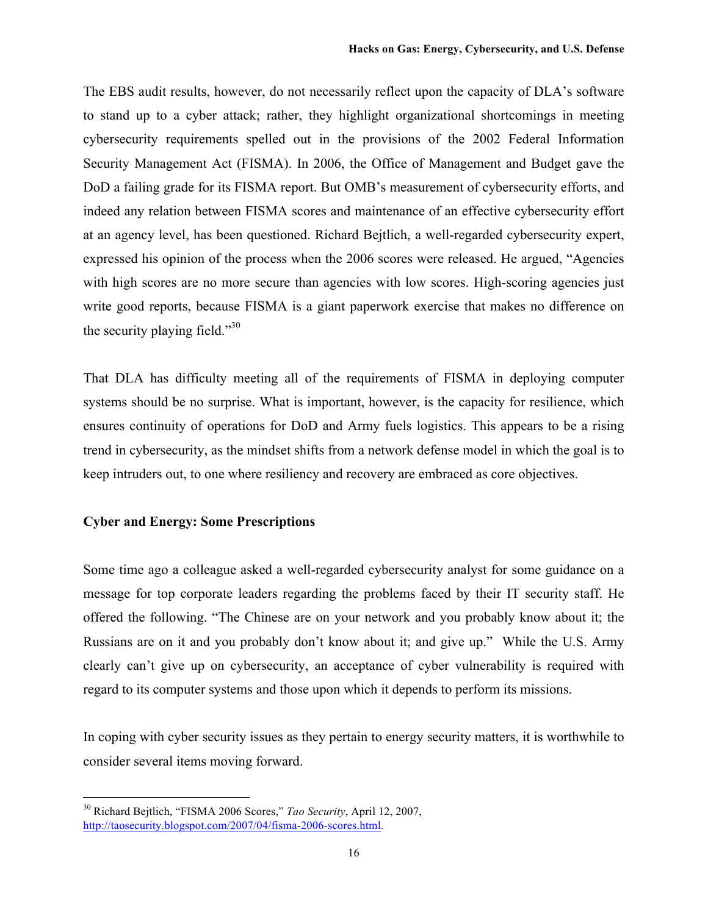The EBS audit results, however, do not necessarily reflect upon the capacity of DLA's software to stand up to a cyber attack; rather, they highlight organizational shortcomings in meeting cybersecurity requirements spelled out in the provisions of the 2002 Federal Information Security Management Act (FISMA). In 2006, the Office of Management and Budget gave the DoD a failing grade for its FISMA report. But OMB's measurement of cybersecurity efforts, and indeed any relation between FISMA scores and maintenance of an effective cybersecurity effort at an agency level, has been questioned. Richard Bejtlich, a well-regarded cybersecurity expert, expressed his opinion of the process when the 2006 scores were released. He argued, "Agencies with high scores are no more secure than agencies with low scores. High-scoring agencies just write good reports, because FISMA is a giant paperwork exercise that makes no difference on the security playing field." $30$ 

That DLA has difficulty meeting all of the requirements of FISMA in deploying computer systems should be no surprise. What is important, however, is the capacity for resilience, which ensures continuity of operations for DoD and Army fuels logistics. This appears to be a rising trend in cybersecurity, as the mindset shifts from a network defense model in which the goal is to keep intruders out, to one where resiliency and recovery are embraced as core objectives.

# **Cyber and Energy: Some Prescriptions**

Some time ago a colleague asked a well-regarded cybersecurity analyst for some guidance on a message for top corporate leaders regarding the problems faced by their IT security staff. He offered the following. "The Chinese are on your network and you probably know about it; the Russians are on it and you probably don't know about it; and give up." While the U.S. Army clearly can't give up on cybersecurity, an acceptance of cyber vulnerability is required with regard to its computer systems and those upon which it depends to perform its missions.

In coping with cyber security issues as they pertain to energy security matters, it is worthwhile to consider several items moving forward.

 <sup>30</sup> Richard Bejtlich, "FISMA 2006 Scores," *Tao Security*, April 12, 2007, http://taosecurity.blogspot.com/2007/04/fisma-2006-scores.html.